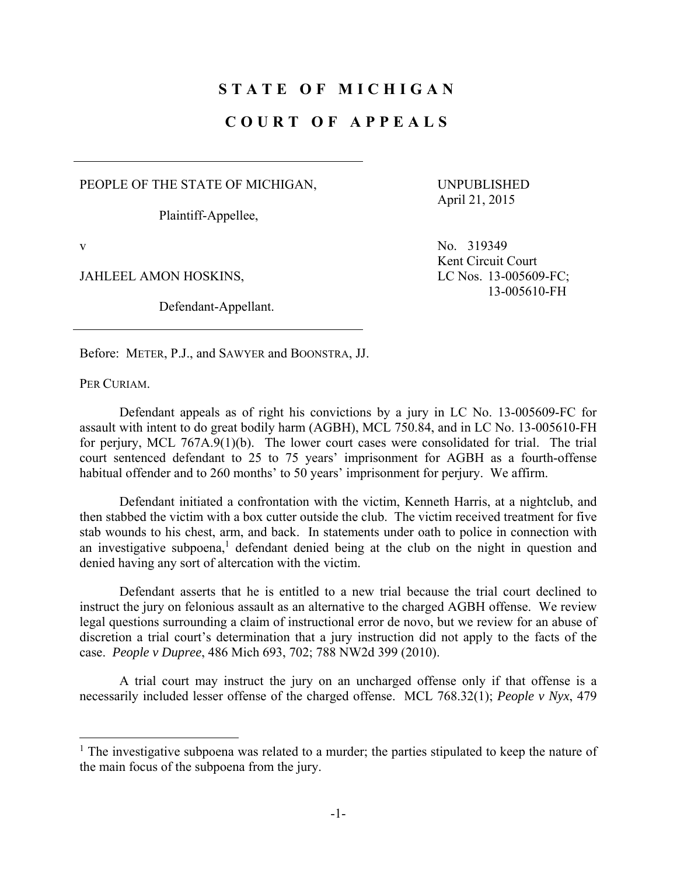## **STATE OF MICHIGAN**

## **COURT OF APPEALS**

PEOPLE OF THE STATE OF MICHIGAN,

Plaintiff-Appellee,

UNPUBLISHED April 21, 2015

 $\overline{a}$ 

JAHLEEL AMON HOSKINS, LC Nos. 13-005609-FC;

Defendant-Appellant.

v No. 319349 Kent Circuit Court 13-005610-FH

Before: METER, P.J., and SAWYER and BOONSTRA, JJ.

PER CURIAM.

 Defendant appeals as of right his convictions by a jury in LC No. 13-005609-FC for assault with intent to do great bodily harm (AGBH), MCL 750.84, and in LC No. 13-005610-FH for perjury, MCL 767A.9(1)(b). The lower court cases were consolidated for trial. The trial court sentenced defendant to 25 to 75 years' imprisonment for AGBH as a fourth-offense habitual offender and to 260 months' to 50 years' imprisonment for perjury. We affirm.

 Defendant initiated a confrontation with the victim, Kenneth Harris, at a nightclub, and then stabbed the victim with a box cutter outside the club. The victim received treatment for five stab wounds to his chest, arm, and back. In statements under oath to police in connection with an investigative subpoena, $<sup>1</sup>$  defendant denied being at the club on the night in question and</sup> denied having any sort of altercation with the victim.

 Defendant asserts that he is entitled to a new trial because the trial court declined to instruct the jury on felonious assault as an alternative to the charged AGBH offense. We review legal questions surrounding a claim of instructional error de novo, but we review for an abuse of discretion a trial court's determination that a jury instruction did not apply to the facts of the case. *People v Dupree*, 486 Mich 693, 702; 788 NW2d 399 (2010).

 A trial court may instruct the jury on an uncharged offense only if that offense is a necessarily included lesser offense of the charged offense. MCL 768.32(1); *People v Nyx*, 479

<sup>&</sup>lt;sup>1</sup> The investigative subpoena was related to a murder; the parties stipulated to keep the nature of the main focus of the subpoena from the jury.